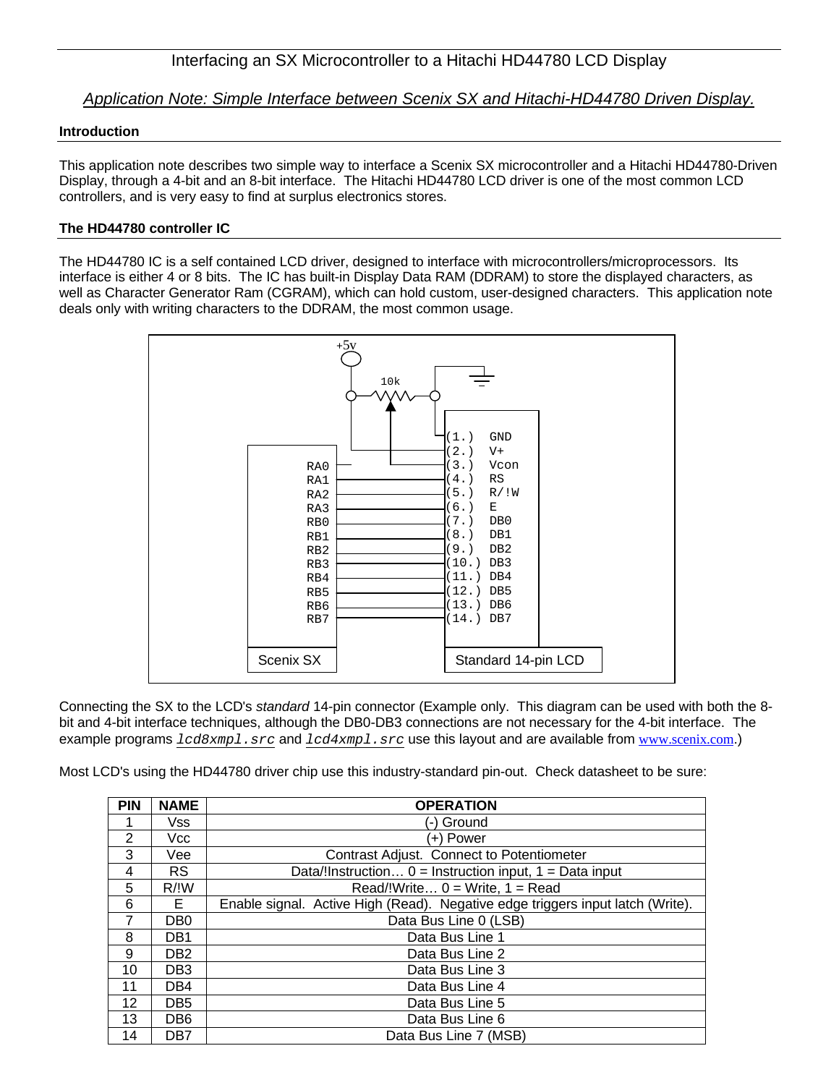*Application Note: Simple Interface between Scenix SX and Hitachi-HD44780 Driven Display.*

### **Introduction**

This application note describes two simple way to interface a Scenix SX microcontroller and a Hitachi HD44780-Driven Display, through a 4-bit and an 8-bit interface. The Hitachi HD44780 LCD driver is one of the most common LCD controllers, and is very easy to find at surplus electronics stores.

### **The HD44780 controller IC**

The HD44780 IC is a self contained LCD driver, designed to interface with microcontrollers/microprocessors. Its interface is either 4 or 8 bits. The IC has built-in Display Data RAM (DDRAM) to store the displayed characters, as well as Character Generator Ram (CGRAM), which can hold custom, user-designed characters. This application note deals only with writing characters to the DDRAM, the most common usage.



Connecting the SX to the LCD's *standard* 14-pin connector (Example only. This diagram can be used with both the 8 bit and 4-bit interface techniques, although the DB0-DB3 connections are not necessary for the 4-bit interface. The example programs  $lcdsxmpl.src$  and  $lcdsxmpl.src$  use this layout and are available from www.scenix.com.)

Most LCD's using the HD44780 driver chip use this industry-standard pin-out. Check datasheet to be sure:

| <b>PIN</b>     | <b>NAME</b>       | <b>OPERATION</b>                                                               |
|----------------|-------------------|--------------------------------------------------------------------------------|
|                | Vss               | (-) Ground                                                                     |
| $\overline{2}$ | Vcc               | (+) Power                                                                      |
| 3              | Vee               | <b>Contrast Adjust. Connect to Potentiometer</b>                               |
| 4              | <b>RS</b>         | Data/!Instruction $0 =$ Instruction input, $1 =$ Data input                    |
| 5              | $R/{}^{\dagger}W$ | $Read/!Write 0 = Write, 1 = Read$                                              |
| 6              | Е                 | Enable signal. Active High (Read). Negative edge triggers input latch (Write). |
|                | DB <sub>0</sub>   | Data Bus Line 0 (LSB)                                                          |
| 8              | DB1               | Data Bus Line 1                                                                |
| 9              | DB <sub>2</sub>   | Data Bus Line 2                                                                |
| 10             | DB <sub>3</sub>   | Data Bus Line 3                                                                |
| 11             | DB4               | Data Bus Line 4                                                                |
| 12             | DB <sub>5</sub>   | Data Bus Line 5                                                                |
| 13             | DB <sub>6</sub>   | Data Bus Line 6                                                                |
| 14             | DB7               | Data Bus Line 7 (MSB)                                                          |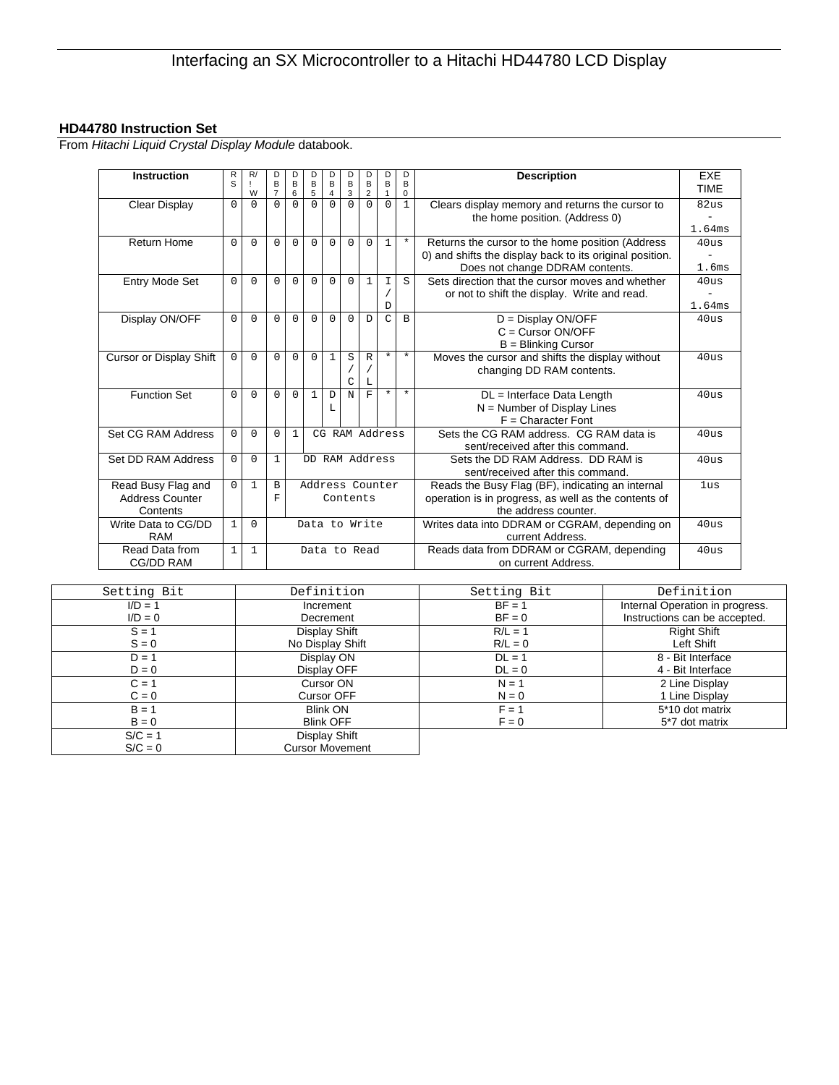## **HD44780 Instruction Set**

From *Hitachi Liquid Crystal Display Module* databook.

| <b>Instruction</b>                                       | R<br>S   | R/<br>W      | D<br>B<br>$\overline{7}$ | D<br>B<br>6  | D<br>B<br>5                                                                                                                                                     | D<br>$\mathsf B$<br>$\overline{4}$ | D<br>B<br>3     | D<br>B<br>$\overline{2}$                                                | D<br>B<br>$\mathbf{1}$ | D<br>B<br>$\mathbf 0$ | <b>Description</b>                                                                                                                              | <b>EXE</b><br><b>TIMF</b>  |
|----------------------------------------------------------|----------|--------------|--------------------------|--------------|-----------------------------------------------------------------------------------------------------------------------------------------------------------------|------------------------------------|-----------------|-------------------------------------------------------------------------|------------------------|-----------------------|-------------------------------------------------------------------------------------------------------------------------------------------------|----------------------------|
| Clear Display                                            | $\Omega$ | $\Omega$     | $\Omega$                 | $\Omega$     | $\Omega$                                                                                                                                                        | $\Omega$                           | $\Omega$        | $\Omega$                                                                | $\Omega$               | $\mathbf{1}$          | Clears display memory and returns the cursor to<br>the home position. (Address 0)                                                               | 82us<br>1.64ms             |
| <b>Return Home</b>                                       | $\Omega$ | $\Omega$     | $\Omega$                 | $\Omega$     | $\Omega$                                                                                                                                                        | $\Omega$                           | $\Omega$        | $\Omega$                                                                | $\mathbf{1}$           | $^\star$              | Returns the cursor to the home position (Address<br>0) and shifts the display back to its original position.<br>Does not change DDRAM contents. | 40us<br>1.6ms              |
| <b>Entry Mode Set</b>                                    | $\Omega$ | $\Omega$     | $\Omega$                 | $\Omega$     | $\Omega$                                                                                                                                                        | $\Omega$                           | $\Omega$        | $\mathbf{1}$                                                            | $\mathbf I$<br>D       | S                     | Sets direction that the cursor moves and whether<br>or not to shift the display. Write and read.                                                | 40 <sub>us</sub><br>1.64ms |
| Display ON/OFF                                           | $\Omega$ | $\Omega$     | $\Omega$                 | $\Omega$     | $\Omega$                                                                                                                                                        | $\Omega$                           | $\Omega$        | D                                                                       | $\mathcal{C}$          | B                     | $D =$ Display ON/OFF<br>$C =$ Cursor ON/OFF<br>$B = Blinking Cursor$                                                                            | 40us                       |
| <b>Cursor or Display Shift</b>                           | $\Omega$ | $\Omega$     | $\Omega$                 | $\Omega$     | $\Omega$                                                                                                                                                        | 1                                  | S<br>C          | $\mathbb{R}$<br>L                                                       | $\star$                | $\star$               | Moves the cursor and shifts the display without<br>changing DD RAM contents.                                                                    | 40us                       |
| <b>Function Set</b>                                      | $\Omega$ | $\Omega$     | $\Omega$                 | $\Omega$     | $\mathbf{1}$                                                                                                                                                    | D<br>L                             | N               | F                                                                       | $\star$                | $\star$               | DL = Interface Data Length<br>$N =$ Number of Display Lines<br>$F =$ Character Font                                                             | 40us                       |
| Set CG RAM Address                                       | $\Omega$ | $\Omega$     | $\Omega$                 | $\mathbf{1}$ |                                                                                                                                                                 |                                    |                 | CG RAM Address                                                          |                        |                       | Sets the CG RAM address. CG RAM data is<br>sent/received after this command.                                                                    | 40us                       |
| Set DD RAM Address                                       | $\Omega$ | $\Omega$     | $\mathbf{1}$             |              | DD RAM Address                                                                                                                                                  |                                    |                 | Sets the DD RAM Address. DD RAM is<br>sent/received after this command. | 40us                   |                       |                                                                                                                                                 |                            |
| Read Busy Flag and<br><b>Address Counter</b><br>Contents | $\Omega$ | $\mathbf{1}$ | B<br>F                   |              | Reads the Busy Flag (BF), indicating an internal<br>Address Counter<br>operation is in progress, as well as the contents of<br>Contents<br>the address counter. |                                    | 1 <sub>us</sub> |                                                                         |                        |                       |                                                                                                                                                 |                            |
| Write Data to CG/DD<br><b>RAM</b>                        | 1        | $\Omega$     |                          |              | Data to Write                                                                                                                                                   |                                    |                 | Writes data into DDRAM or CGRAM, depending on<br>current Address.       | 40us                   |                       |                                                                                                                                                 |                            |
| Read Data from<br>CG/DD RAM                              | 1        | $\mathbf{1}$ |                          |              |                                                                                                                                                                 |                                    |                 | Data to Read                                                            |                        |                       | Reads data from DDRAM or CGRAM, depending<br>on current Address.                                                                                | 40us                       |

| Setting Bit | Definition             | Setting Bit | Definition                      |
|-------------|------------------------|-------------|---------------------------------|
| $I/D = 1$   | Increment              | $BF = 1$    | Internal Operation in progress. |
| $I/D = 0$   | Decrement              | $BF = 0$    | Instructions can be accepted.   |
| $S = 1$     | Display Shift          | $R/L = 1$   | <b>Right Shift</b>              |
| $S = 0$     | No Display Shift       | $R/L = 0$   | Left Shift                      |
| $D = 1$     | Display ON             | $DL = 1$    | 8 - Bit Interface               |
| $D = 0$     | Display OFF            | $DL = 0$    | 4 - Bit Interface               |
| $C = 1$     | Cursor ON              | $N = 1$     | 2 Line Display                  |
| $C = 0$     | <b>Cursor OFF</b>      | $N = 0$     | 1 Line Display                  |
| $B = 1$     | <b>Blink ON</b>        | $F = 1$     | 5*10 dot matrix                 |
| $B = 0$     | <b>Blink OFF</b>       | $F = 0$     | 5*7 dot matrix                  |
| $S/C = 1$   | Display Shift          |             |                                 |
| $S/C = 0$   | <b>Cursor Movement</b> |             |                                 |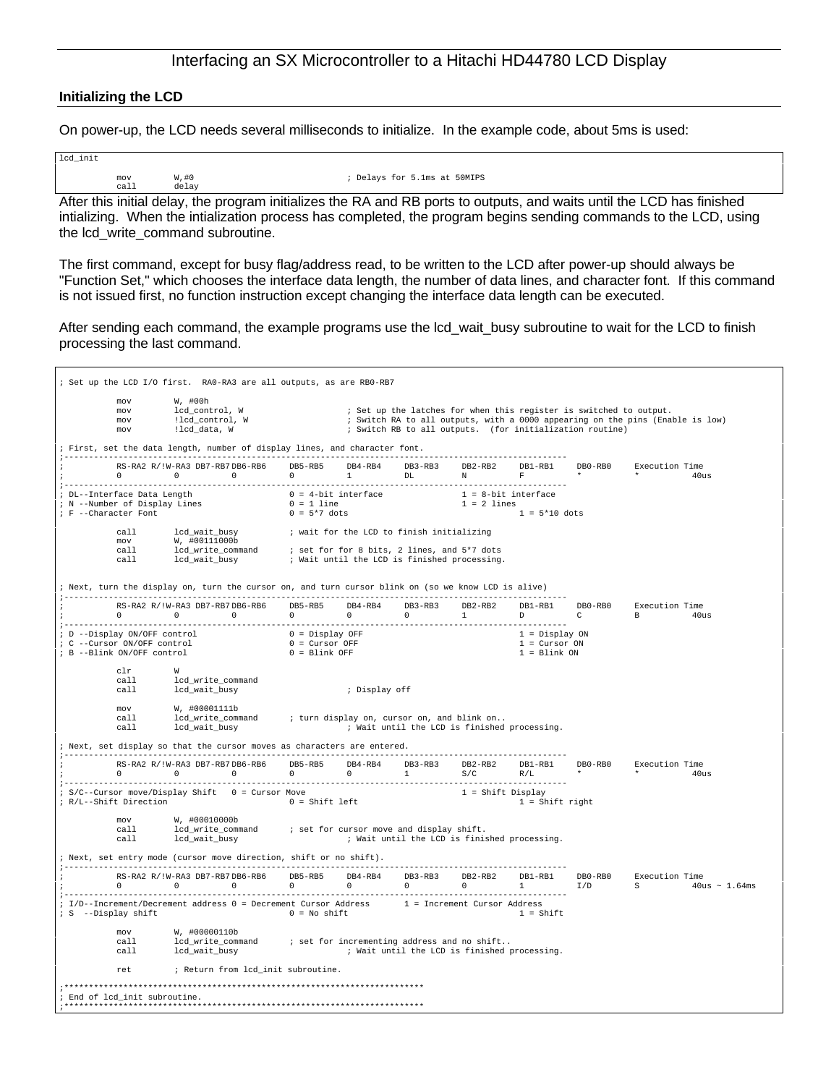#### **Initializing the LCD**

On power-up, the LCD needs several milliseconds to initialize. In the example code, about 5ms is used:

| lcd init |       |                                                                                                                        |
|----------|-------|------------------------------------------------------------------------------------------------------------------------|
| mov      | W,#O  | ; Delays for 5.1ms at 50MIPS                                                                                           |
| call     | delav |                                                                                                                        |
|          |       | Aftau thiainichead alabar tha nuannan initializza tha DA and DD nauta ta arrtarata naturalizzation of DD has finishead |

After this initial delay, the program initializes the RA and RB ports to outputs, and waits until the LCD has finished intializing. When the intialization process has completed, the program begins sending commands to the LCD, using the lcd\_write\_command subroutine.

The first command, except for busy flag/address read, to be written to the LCD after power-up should always be "Function Set," which chooses the interface data length, the number of data lines, and character font. If this command is not issued first, no function instruction except changing the interface data length can be executed.

After sending each command, the example programs use the lcd\_wait\_busy subroutine to wait for the LCD to finish processing the last command.

|                                                           | ; Set up the LCD I/O first. RAO-RA3 are all outputs, as are RBO-RB7                                                    |                                           |                                         |                                              |                                |                                                                                                                                |                                                                                                                                                                                                                                                                                                                                 |                                                                                          |                            |
|-----------------------------------------------------------|------------------------------------------------------------------------------------------------------------------------|-------------------------------------------|-----------------------------------------|----------------------------------------------|--------------------------------|--------------------------------------------------------------------------------------------------------------------------------|---------------------------------------------------------------------------------------------------------------------------------------------------------------------------------------------------------------------------------------------------------------------------------------------------------------------------------|------------------------------------------------------------------------------------------|----------------------------|
| mov<br>mov<br>mov<br>mov                                  | W, #00h<br>lcd_control, W<br>!lcd_control, W<br>!lcd_data, W                                                           |                                           |                                         |                                              |                                | ; Set up the latches for when this register is switched to output.<br>; Switch RB to all outputs. (for initialization routine) |                                                                                                                                                                                                                                                                                                                                 | ; Switch RA to all outputs, with a 0000 appearing on the pins (Enable is low)            |                            |
|                                                           | ; First, set the data length, number of display lines, and character font.                                             |                                           |                                         |                                              |                                |                                                                                                                                |                                                                                                                                                                                                                                                                                                                                 |                                                                                          |                            |
|                                                           | RS-RA2 R/!W-RA3 DB7-RB7 DB6-RB6 DB5-RB5 DB4-RB4 DB3-RB3<br>$0$ 0 0 0 0 1 DL N                                          |                                           |                                         |                                              | DB2-RB2                        | $F$ and the set of $F$                                                                                                         |                                                                                                                                                                                                                                                                                                                                 | DB1-RB1   DB0-RB0   Execution Time<br>$\star$ . The set of $\star$ is the set of $\star$ | 40us                       |
|                                                           |                                                                                                                        |                                           |                                         |                                              |                                |                                                                                                                                |                                                                                                                                                                                                                                                                                                                                 |                                                                                          |                            |
| ; F --Character Font                                      |                                                                                                                        | $0 = 5*7$ dots                            |                                         |                                              |                                | $1 = 5*10$ dots                                                                                                                |                                                                                                                                                                                                                                                                                                                                 |                                                                                          |                            |
| call<br>$m \alpha v$<br>call                              | lcd wait busy<br>W, #00111000b                                                                                         | ; wait for the LCD to finish initializing |                                         |                                              |                                |                                                                                                                                |                                                                                                                                                                                                                                                                                                                                 |                                                                                          |                            |
| call                                                      | lcd_write_command : set for 8 bits, 2 lines, and 5*7 dots<br>lcd_wait_busy : Wait until the LCD is finished processing |                                           |                                         | ; Wait until the LCD is finished processing. |                                |                                                                                                                                |                                                                                                                                                                                                                                                                                                                                 |                                                                                          |                            |
|                                                           | ; Next, turn the display on, turn the cursor on, and turn cursor blink on (so we know LCD is alive)                    |                                           |                                         |                                              |                                |                                                                                                                                |                                                                                                                                                                                                                                                                                                                                 |                                                                                          |                            |
|                                                           | RS-RA2 R/!W-RA3 DB7-RB7DB6-RB6                                                                                         | DB5-RB5                                   | DB4-RB4                                 | DB3-RB3                                      | DB2-RB2<br>$1$ and $1$ and $1$ | DB1-RB1<br>$D \sim 1$                                                                                                          | $\mathbb C$ and $\mathbb C$ and $\mathbb C$ and $\mathbb C$ and $\mathbb C$ and $\mathbb C$ and $\mathbb C$ and $\mathbb C$ and $\mathbb C$ and $\mathbb C$ and $\mathbb C$ and $\mathbb C$ and $\mathbb C$ and $\mathbb C$ and $\mathbb C$ and $\mathbb C$ and $\mathbb C$ and $\mathbb C$ and $\mathbb C$ and $\mathbb C$ and | DB0-RB0 Execution Time<br>B 40us                                                         |                            |
| : C --Cursor ON/OFF control<br>; B --Blink ON/OFF control | ; D --Display ON/OFF control 0 = Display OFF                                                                           | $0 = Cursor OFF$<br>$0 = Blink OFF$       |                                         |                                              |                                | 1 = Display ON<br>$1 = Cursor ON$<br>$1 = Blink ON$                                                                            |                                                                                                                                                                                                                                                                                                                                 |                                                                                          |                            |
| $_{\text{clr}}$<br>call<br>call                           | W<br>lcd_write_command<br>lcd_wait_busy                                                                                |                                           | ; Display off                           |                                              |                                |                                                                                                                                |                                                                                                                                                                                                                                                                                                                                 |                                                                                          |                            |
| $m \cap V$<br>call<br>call                                | W, #00001111b<br>lcd_wait_busy                                                                                         |                                           |                                         |                                              |                                | ; Wait until the LCD is finished processing.                                                                                   |                                                                                                                                                                                                                                                                                                                                 |                                                                                          |                            |
|                                                           | ; Next, set display so that the cursor moves as characters are entered.                                                |                                           |                                         |                                              |                                |                                                                                                                                |                                                                                                                                                                                                                                                                                                                                 |                                                                                          |                            |
|                                                           | RS-RA2 R/!W-RA3 DB7-RB7DB6-RB6<br>$0 \qquad \qquad 0 \qquad \qquad 0$                                                  |                                           | $\begin{matrix} 0 & 0 & 1 \end{matrix}$ | DB5-RB5 DB4-RB4 DB3-RB3                      | DB2-RB2<br>S/C                 | R/L                                                                                                                            | $\star$ . The set of the set of the set of the set of the set of the set of the set of the set of the set of the set of the set of the set of the set of the set of the set of the set of the set of the set of the set of the s                                                                                                | DB1-RB1 DB0-RB0 Execution Time<br>$*$ 40us                                               |                            |
|                                                           | ; S/C--Cursor move/Display Shift  0 = Cursor Move<br>; R/L--Shift Direction                                            | $0 = Shift left$                          |                                         |                                              | $1 = Shift Display$            | 1 = Shift right                                                                                                                |                                                                                                                                                                                                                                                                                                                                 |                                                                                          |                            |
| mov<br>call<br>call                                       | W, #00010000b<br>lcd_wait_busy                                                                                         |                                           |                                         |                                              |                                | ; Wait until the LCD is finished processing.                                                                                   |                                                                                                                                                                                                                                                                                                                                 |                                                                                          |                            |
|                                                           | ; Next, set entry mode (cursor move direction, shift or no shift).                                                     |                                           |                                         |                                              |                                |                                                                                                                                |                                                                                                                                                                                                                                                                                                                                 |                                                                                          |                            |
|                                                           | RS-RA2 R/!W-RA3 DB7-RB7DB6-RB6<br>$0 \qquad \qquad 0 \qquad \qquad 0$                                                  | DB5-RB5<br>$\overline{0}$                 | $\overline{0}$                          | DB4-RB4 DB3-RB3<br>$\overline{0}$            | DB2-RB2<br>$\Omega$            | $1 \qquad \qquad$                                                                                                              |                                                                                                                                                                                                                                                                                                                                 | DB1-RB1   DB0-RB0   Execution Time                                                       | $I/D$ S $40us \sim 1.64ms$ |
| ; S --Display shift                                       | ; I/D--Increment/Decrement address 0 = Decrement Cursor Address 1 = Increment Cursor Address                           | $0 = No shift$                            |                                         |                                              |                                | $1 = Shift$                                                                                                                    |                                                                                                                                                                                                                                                                                                                                 |                                                                                          |                            |
| mov<br>call<br>cal1                                       | W, #00000110b<br>${\tt lcd\_write\_command}~~:~ set~~ for~ incrementing~address~and~no~shift~.$<br>lcd_wait_busy       |                                           |                                         |                                              |                                | ; Wait until the LCD is finished processing.                                                                                   |                                                                                                                                                                                                                                                                                                                                 |                                                                                          |                            |
| ret                                                       | ; Return from lcd_init subroutine.                                                                                     |                                           |                                         |                                              |                                |                                                                                                                                |                                                                                                                                                                                                                                                                                                                                 |                                                                                          |                            |
|                                                           |                                                                                                                        |                                           |                                         |                                              |                                |                                                                                                                                |                                                                                                                                                                                                                                                                                                                                 |                                                                                          |                            |
| ; End of lcd init subroutine.                             |                                                                                                                        |                                           |                                         |                                              |                                |                                                                                                                                |                                                                                                                                                                                                                                                                                                                                 |                                                                                          |                            |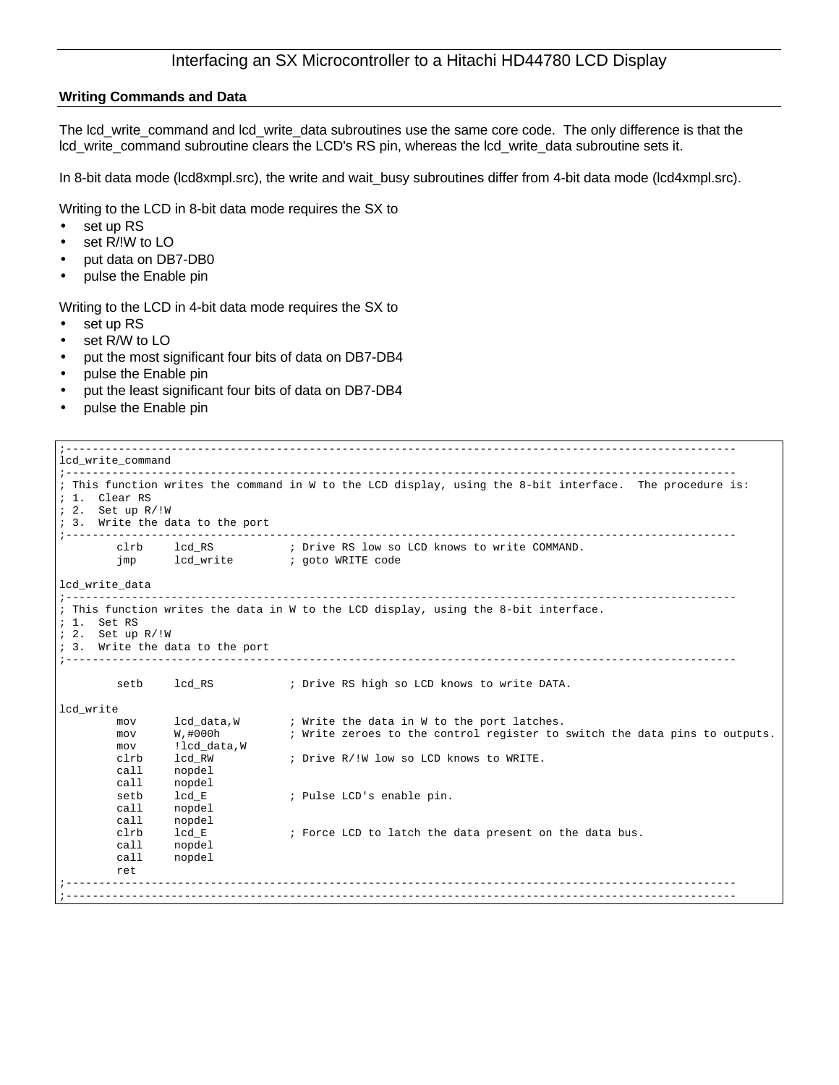### **Writing Commands and Data**

The lcd\_write\_command and lcd\_write\_data subroutines use the same core code. The only difference is that the lcd\_write\_command subroutine clears the LCD's RS pin, whereas the lcd\_write\_data subroutine sets it.

In 8-bit data mode (lcd8xmpl.src), the write and wait\_busy subroutines differ from 4-bit data mode (lcd4xmpl.src).

Writing to the LCD in 8-bit data mode requires the SX to

- set up RS
- set R/!W to LO
- put data on DB7-DB0
- pulse the Enable pin

Writing to the LCD in 4-bit data mode requires the SX to

- set up RS
- set R/W to LO
- put the most significant four bits of data on DB7-DB4
- pulse the Enable pin
- put the least significant four bits of data on DB7-DB4
- pulse the Enable pin

| lcd write_command<br>; 1. Clear RS<br>$: 2.$ Set up $R/!W$<br>; 3. Write the data to the port                                                                                                                                          | ; This function writes the command in W to the LCD display, using the 8-bit interface. The procedure is:                 |
|----------------------------------------------------------------------------------------------------------------------------------------------------------------------------------------------------------------------------------------|--------------------------------------------------------------------------------------------------------------------------|
|                                                                                                                                                                                                                                        |                                                                                                                          |
|                                                                                                                                                                                                                                        |                                                                                                                          |
| jmp                                                                                                                                                                                                                                    | clrb 1cd RS : Drive RS low so LCD knows to write COMMAND.                                                                |
| lcd_write_data                                                                                                                                                                                                                         |                                                                                                                          |
| Set RS<br>$: 2.$ Set up $R/!W$<br>; 3. Write the data to the port                                                                                                                                                                      | ; This function writes the data in W to the LCD display, using the 8-bit interface.                                      |
| lcd RS and the set of the set of the set of the set of the set of the set of the set of the set of the set of the set of the set of the set of the set of the set of the set of the set of the set of the set of the set of th<br>setb | ; Drive RS high so LCD knows to write DATA.                                                                              |
|                                                                                                                                                                                                                                        |                                                                                                                          |
| lcd_data,W<br>mov<br>W,#000h<br>mov<br>mov                                                                                                                                                                                             | ; Write the data in W to the port latches.<br>; Write zeroes to the control register to switch the data pins to outputs. |
| lcd RW<br>clrb<br>nopdel<br>call                                                                                                                                                                                                       | ; Drive R/!W low so LCD knows to WRITE.                                                                                  |
| setb<br>lcd E<br>call<br>nopdel<br>call<br>nopdel                                                                                                                                                                                      | ; Pulse LCD's enable pin.                                                                                                |
| clrb<br>lcd E<br>call<br>nopdel<br>call<br>nopdel<br>ret                                                                                                                                                                               | ; Force LCD to latch the data present on the data bus.                                                                   |
|                                                                                                                                                                                                                                        | !lcd_data,W<br>call<br>nopdel                                                                                            |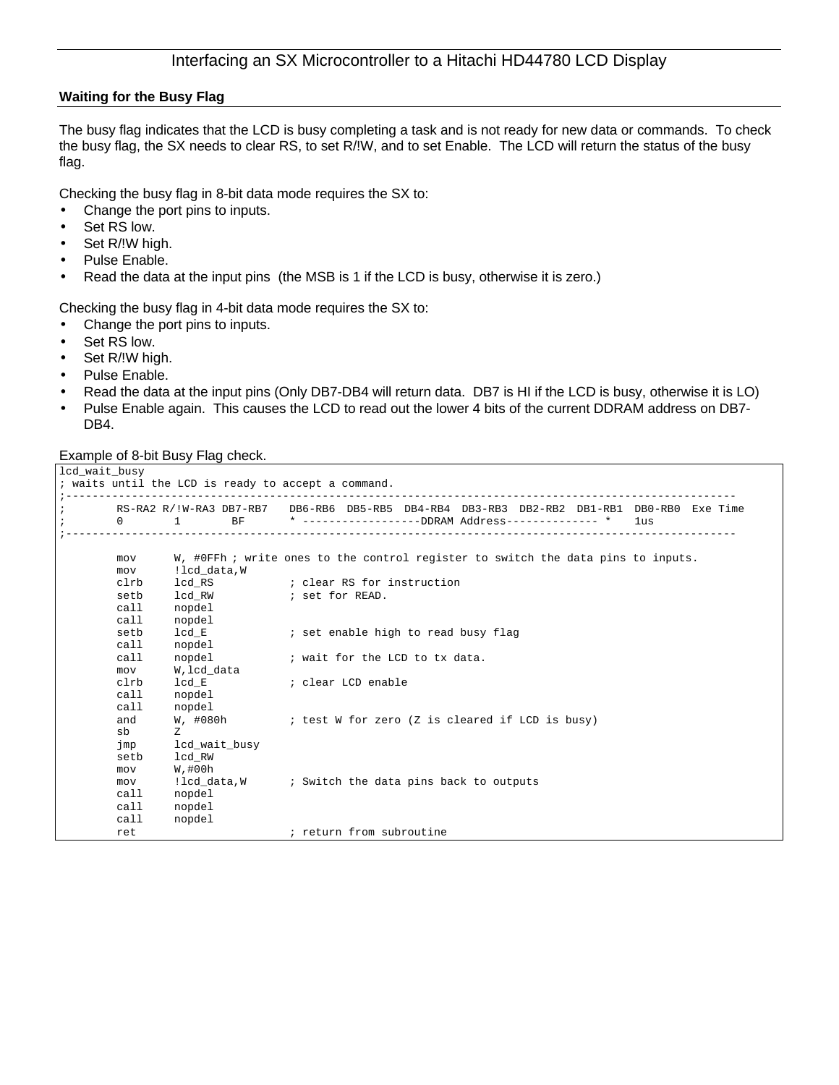### **Waiting for the Busy Flag**

The busy flag indicates that the LCD is busy completing a task and is not ready for new data or commands. To check the busy flag, the SX needs to clear RS, to set R/!W, and to set Enable. The LCD will return the status of the busy flag.

Checking the busy flag in 8-bit data mode requires the SX to:

- Change the port pins to inputs.
- Set RS low.
- Set R/!W high.
- Pulse Enable.
- Read the data at the input pins (the MSB is 1 if the LCD is busy, otherwise it is zero.)

Checking the busy flag in 4-bit data mode requires the SX to:

- Change the port pins to inputs.
- Set RS low.
- Set R/!W high.
- Pulse Enable.
- Read the data at the input pins (Only DB7-DB4 will return data. DB7 is HI if the LCD is busy, otherwise it is LO)
- Pulse Enable again. This causes the LCD to read out the lower 4 bits of the current DDRAM address on DB7- DB4.

### Example of 8-bit Busy Flag check.

```
lcd_wait_busy
; waits until the LCD is ready to accept a command.
                               ;------------------------------------------------------------------------------------------------------
; RS-RA2 R/!W-RA3 DB7-RB7 DB6-RB6 DB5-RB5 DB4-RB4 DB3-RB3 DB2-RB2 DB1-RB1 DB0-RB0 Exe Time
                                   * -----------------DDRAM Address-------------- * 1us
;------------------------------------------------------------------------------------------------------
        mov W, #0FFh ; write ones to the control register to switch the data pins to inputs.
        mov !lcd_data,W
        clrb lcd_RS ; clear RS for instruction<br>setb lcd_RW ; set for READ.
        setb lcd_RW ; set for READ.<br>call nopdel
         call nopdel
         call nopdel
        setb lcd_E ; set enable high to read busy flag
        call nopdel
        call nopdel \qquad i wait for the LCD to tx data.
        call nopdel<br>mov W,lcd_data
        clrb lcd_E ; clear LCD enable
        call nopdel
        call nopdel<br>and W, #080h
        and W, #080h V ; test W for zero (Z is cleared if LCD is busy)
        sb Z
        jmp lcd_wait_busy
        setb lcd_RW
        mov W,#00h<br>mov !lcd_data,W
        mov !lcd_data,W ; Switch the data pins back to outputs
        call nopdel
        call nopdel
        call nopdel
        ret \qquad \qquad ; return from subroutine
```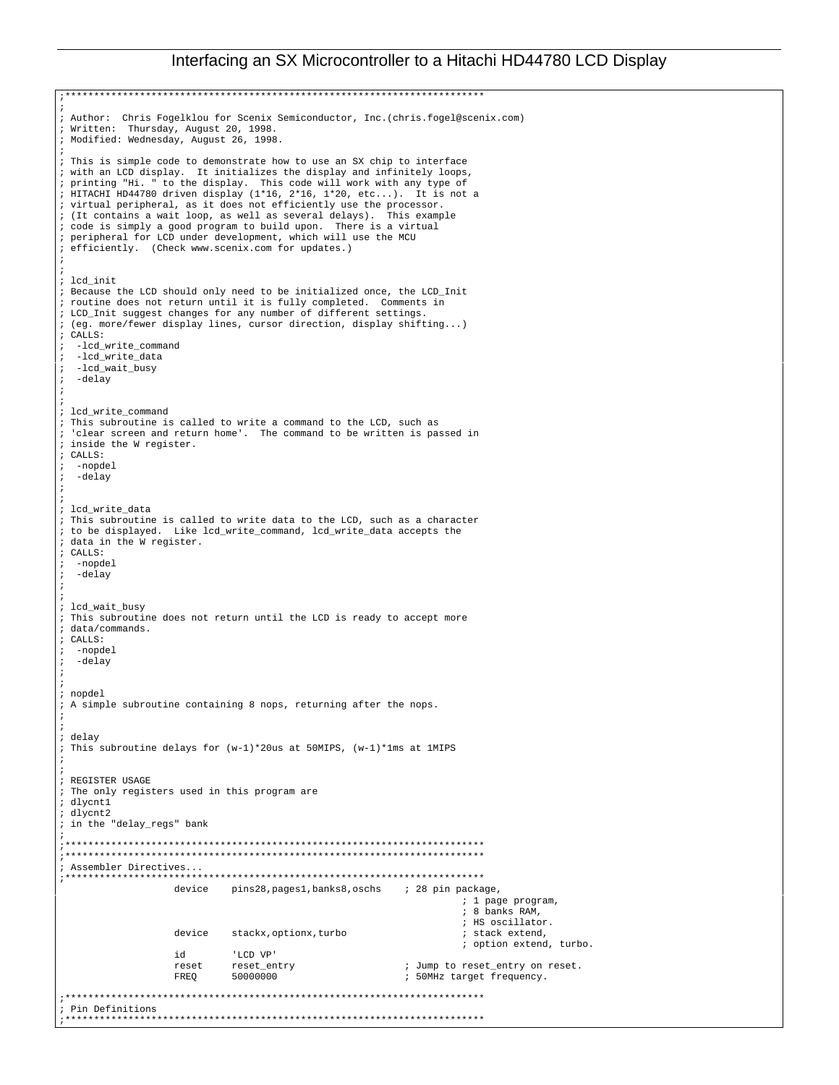;\*\*\*\*\*\*\*\*\*\*\*\*\*\*\*\*\*\*\*\*\*\*\*\*\*\*\*\*\*\*\*\*\*\*\*\*\*\*\*\*\*\*\*\*\*\*\*\*\*\*\*\*\*\*\*\*\*\*\*\*\*\*\*\*\*\*\*\*\*\*\*\*\* ; ; Author: Chris Fogelklou for Scenix Semiconductor, Inc.(chris.fogel@scenix.com) ; Written: Thursday, August 20, 1998. ; Modified: Wednesday, August 26, 1998. ; ; This is simple code to demonstrate how to use an SX chip to interface ; with an LCD display. It initializes the display and infinitely loops, ; printing "Hi. " to the display. This code will work with any type of ; HITACHI HD44780 driven display (1\*16, 2\*16, 1\*20, etc...). It is not a ; virtual peripheral, as it does not efficiently use the processor.<br>; (It contains a wait loop, as well as several delays). This example  $:$  (It contains a wait loop, as well as several delays). ; code is simply a good program to build upon. There is a virtual ; peripheral for LCD under development, which will use the MCU ; efficiently. (Check www.scenix.com for updates.) ; ; ; lcd\_init ; Because the LCD should only need to be initialized once, the LCD\_Init ; routine does not return until it is fully completed. Comments in ; LCD\_Init suggest changes for any number of different settings. ; (eg. more/fewer display lines, cursor direction, display shifting...) ; CALLS: ; -lcd\_write\_command ; -lcd\_write\_data ; -lcd\_wait\_busy ; -delay ; ; ; lcd\_write\_command ; This subroutine is called to write a command to the LCD, such as 'clear screen and return home'. The command to be written is passed in ; inside the W register. ; CALLS: -nopdel ; -delay ; ; ; lcd\_write\_data ; This subroutine is called to write data to the LCD, such as a character ; to be displayed. Like lcd\_write\_command, lcd\_write\_data accepts the ; data in the W register. ; CALLS: -nopdel ; -delay ; ; ; lcd\_wait\_busy ; This subroutine does not return until the LCD is ready to accept more ; data/commands. ; CALLS: -nopdel -delay ; ; ; nopdel ; A simple subroutine containing 8 nops, returning after the nops. ; ; ; delay ; This subroutine delays for (w-1)\*20us at 50MIPS, (w-1)\*1ms at 1MIPS ; ; ; REGISTER USAGE ; The only registers used in this program are ; dlycnt1 ; dlycnt2 ; in the "delay\_regs" bank ; ;\*\*\*\*\*\*\*\*\*\*\*\*\*\*\*\*\*\*\*\*\*\*\*\*\*\*\*\*\*\*\*\*\*\*\*\*\*\*\*\*\*\*\*\*\*\*\*\*\*\*\*\*\*\*\*\*\*\*\*\*\*\*\*\*\*\*\*\*\*\*\*\*\* ;\*\*\*\*\*\*\*\*\*\*\*\*\*\*\*\*\*\*\*\*\*\*\*\*\*\*\*\*\*\*\*\*\*\*\*\*\*\*\*\*\*\*\*\*\*\*\*\*\*\*\*\*\*\*\*\*\*\*\*\*\*\*\*\*\*\*\*\*\*\*\*\*\* ; Assembler Directives... ;\*\*\*\*\*\*\*\*\*\*\*\*\*\*\*\*\*\*\*\*\*\*\*\*\*\*\*\*\*\*\*\*\*\*\*\*\*\*\*\*\*\*\*\*\*\*\*\*\*\*\*\*\*\*\*\*\*\*\*\*\*\*\*\*\*\*\*\*\*\*\*\*\* pins28,pages1,banks8,oschs ; 28 pin package, ; 1 page program, ; 8 banks RAM, %; HS oscillator.<br>% stack extend. device stackx, optionx, turbo ; option extend, turbo. id 'LCD VP'<br>reset reset\_entry reset reset\_entry ; Jump to reset\_entry on reset. FREQ 50000000 ; 50MHz target frequency. ;\*\*\*\*\*\*\*\*\*\*\*\*\*\*\*\*\*\*\*\*\*\*\*\*\*\*\*\*\*\*\*\*\*\*\*\*\*\*\*\*\*\*\*\*\*\*\*\*\*\*\*\*\*\*\*\*\*\*\*\*\*\*\*\*\*\*\*\*\*\*\*\*\* ; Pin Definitions ;\*\*\*\*\*\*\*\*\*\*\*\*\*\*\*\*\*\*\*\*\*\*\*\*\*\*\*\*\*\*\*\*\*\*\*\*\*\*\*\*\*\*\*\*\*\*\*\*\*\*\*\*\*\*\*\*\*\*\*\*\*\*\*\*\*\*\*\*\*\*\*\*\*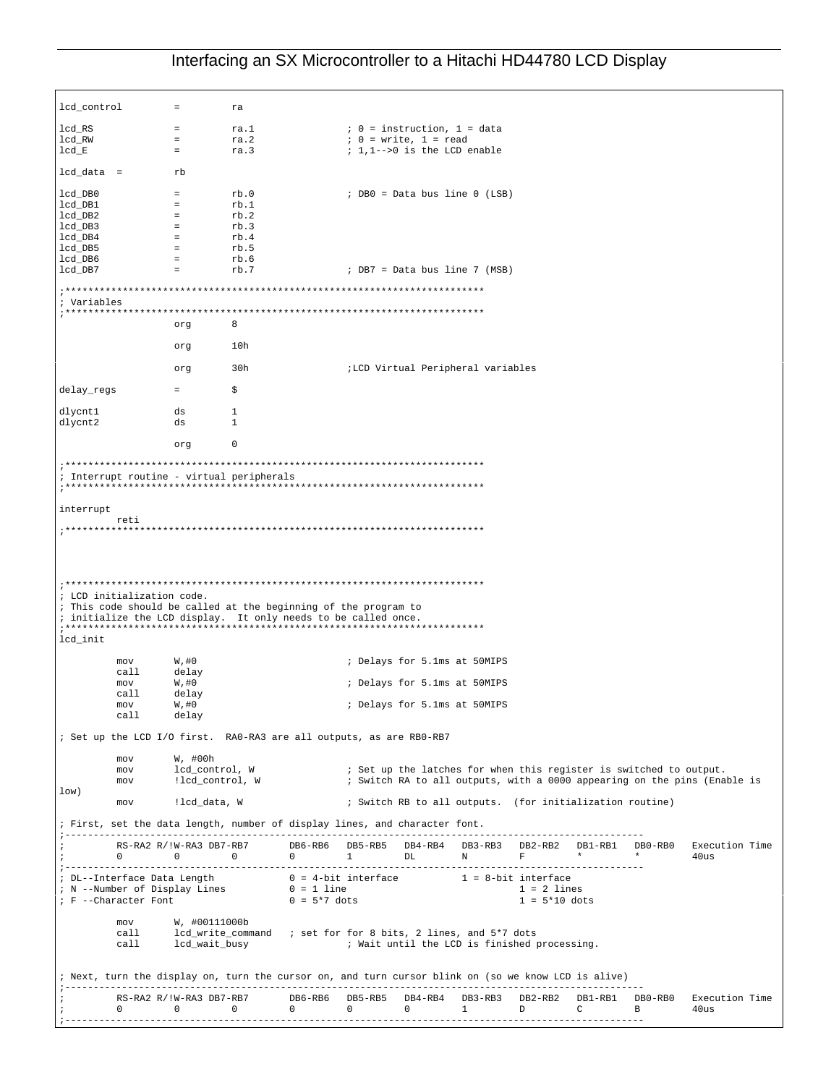lcd\_control = ra  $\begin{array}{lclclcl} \texttt{lcd\_RS} & = & \texttt{ra.1} & \texttt{if} & 0 = \texttt{instruction, 1 = data} \\ \texttt{lcd\_RW} & = & \texttt{ra.2} & \texttt{if} & 0 = \texttt{write, 1 = read} \end{array}$  $\begin{array}{lclclcl} \texttt{lcd\_RW} & = & \texttt{ra.2} & \texttt{;} & 0 = \texttt{write, 1 = read} \\ \texttt{lcd\_E} & = & \texttt{ra.3} & \texttt{;} & 1, 1-->0 \text{ is the LCD e} \end{array}$ ra.3  $i$ ,  $1,1-->0$  is the LCD enable lcd\_data = rb  $\begin{tabular}{lllllllll} \bf lcd\_DB0 & = & rb.0 & \tt ; DB0 = Data bus line 0 (LSB) \\ \bf lcd\_DB1 & = & rb.1 & \tt ; DB0 = Data bus line 0 (LSB) \end{tabular}$  $lcd\_DB1$  = rb.1<br> $lcd\_DB2$  = rb.2  $lcd$   $DB2$ lcd\_DB3 = rb.3  $lcd_DB3$  = rb.3<br> $lcd_DB4$  = rb.4 lcd\_DB5 = rb.5  $\begin{array}{ccc} \texttt{lcd\_DB5} & = & \texttt{rb.5} \\ \texttt{lcd\_DB6} & = & \texttt{rb.6} \\ \texttt{lcd\_DB7} & = & \texttt{rb.7} \end{array}$  $i$  DB7 = Data bus line 7 (MSB) ;\*\*\*\*\*\*\*\*\*\*\*\*\*\*\*\*\*\*\*\*\*\*\*\*\*\*\*\*\*\*\*\*\*\*\*\*\*\*\*\*\*\*\*\*\*\*\*\*\*\*\*\*\*\*\*\*\*\*\*\*\*\*\*\*\*\*\*\*\*\*\*\*\* ; Variables ;\*\*\*\*\*\*\*\*\*\*\*\*\*\*\*\*\*\*\*\*\*\*\*\*\*\*\*\*\*\*\*\*\*\*\*\*\*\*\*\*\*\*\*\*\*\*\*\*\*\*\*\*\*\*\*\*\*\*\*\*\*\*\*\*\*\*\*\*\*\*\*\*\* org 8 org 10h org 30h ;LCD Virtual Peripheral variables  $delay\_regs$  =  $$$ dlycnt1 ds 1<br>dlycnt2 ds 1 dlycnt2 ds 1 org 0 ;\*\*\*\*\*\*\*\*\*\*\*\*\*\*\*\*\*\*\*\*\*\*\*\*\*\*\*\*\*\*\*\*\*\*\*\*\*\*\*\*\*\*\*\*\*\*\*\*\*\*\*\*\*\*\*\*\*\*\*\*\*\*\*\*\*\*\*\*\*\*\*\*\* ; Interrupt routine - virtual peripherals ;\*\*\*\*\*\*\*\*\*\*\*\*\*\*\*\*\*\*\*\*\*\*\*\*\*\*\*\*\*\*\*\*\*\*\*\*\*\*\*\*\*\*\*\*\*\*\*\*\*\*\*\*\*\*\*\*\*\*\*\*\*\*\*\*\*\*\*\*\*\*\*\*\* interrupt reti ;\*\*\*\*\*\*\*\*\*\*\*\*\*\*\*\*\*\*\*\*\*\*\*\*\*\*\*\*\*\*\*\*\*\*\*\*\*\*\*\*\*\*\*\*\*\*\*\*\*\*\*\*\*\*\*\*\*\*\*\*\*\*\*\*\*\*\*\*\*\*\*\*\* ;\*\*\*\*\*\*\*\*\*\*\*\*\*\*\*\*\*\*\*\*\*\*\*\*\*\*\*\*\*\*\*\*\*\*\*\*\*\*\*\*\*\*\*\*\*\*\*\*\*\*\*\*\*\*\*\*\*\*\*\*\*\*\*\*\*\*\*\*\*\*\*\*\* ; LCD initialization code. ; This code should be called at the beginning of the program to ; initialize the LCD display. It only needs to be called once. ;\*\*\*\*\*\*\*\*\*\*\*\*\*\*\*\*\*\*\*\*\*\*\*\*\*\*\*\*\*\*\*\*\*\*\*\*\*\*\*\*\*\*\*\*\*\*\*\*\*\*\*\*\*\*\*\*\*\*\*\*\*\*\*\*\*\*\*\*\*\*\*\*\* lcd\_init mov W,#0 ; Delays for 5.1ms at 50MIPS call delay<br>mov W,#0 mov W,#0 ; Delays for 5.1ms at 50MIPS delay<br>W,#0 mov W,#0 ; Delays for 5.1ms at 50MIPS delay ; Set up the LCD I/O first. RA0-RA3 are all outputs, as are RB0-RB7 mov W, #00h<br>mov lcd\_control, W mov lcd\_control, W ; Set up the latches for when this register is switched to output.<br>mov : llcd\_control, W ; Switch RA to all outputs, with a 0000 appearing on the pins (Ena ; Switch RA to all outputs, with a 0000 appearing on the pins (Enable is low) mov : lcd\_data, W ; Switch RB to all outputs. (for initialization routine) ; First, set the data length, number of display lines, and character font. ;------------------------------------------------------------------------------------------------------ ; RS-RA2 R/!W-RA3 DB7-RB7 DB6-RB6 DB5-RB5 DB4-RB4 DB3-RB3 DB2-RB2 DB1-RB1 DB0-RB0 Execution Time RS-RA2 R/!W-RA3 DB7-RB7 DB6-RB6 DB5-RB5 DB4-RB4 DB3-RB3 DB2-RB2 DB1-RB1 DE<br>
0 0 0 1 DL N F \* \* ;------------------------------------------------------------------------------------------------------ ; DL--Interface Data Length 0 = 4-bit interface 1 = 8-bit interface ; N --Number of Display Lines 0 = 1 line 1 = 2 lines  $; F$  --Character Font 0 = 5\*7 dots 1 = 5\*10 dots mov W, #00111000b<br>call lcd write comma lcd\_write\_command ; set for for 8 bits, 2 lines, and 5\*7 dots<br>lcd\_wait\_busy ; Wait until the LCD is finished call lcd\_wait\_busy ; Wait until the LCD is finished processing. ; Next, turn the display on, turn the cursor on, and turn cursor blink on (so we know LCD is alive) ;------------------------------------------------------------------------------------------------------ ; RS-RA2 R/!W-RA3 DB7-RB7 DB6-RB6 DB5-RB5 DB4-RB4 DB3-RB3 DB2-RB2 DB1-RB1 DB0-RB0 Execution Time ; 0 0 0 0 0 0 1 D C B 40us ;------------------------------------------------------------------------------------------------------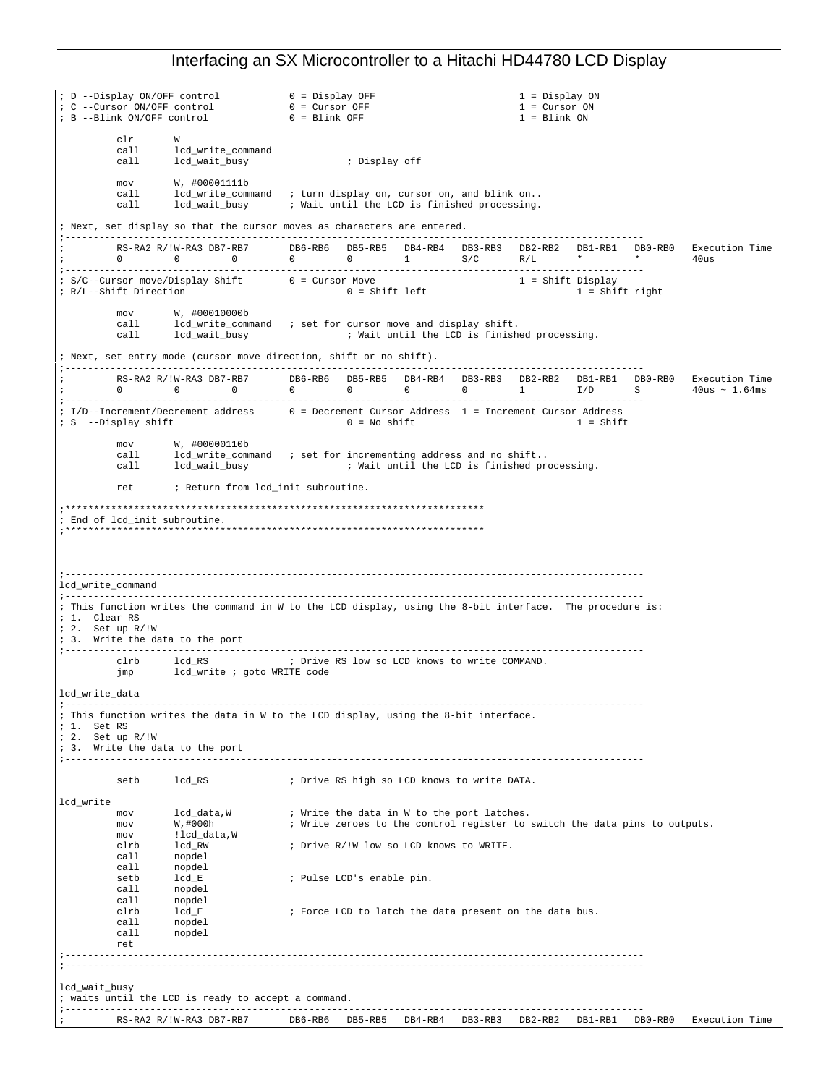| ; D --Display ON/OFF control    |                                                                                                                                                                                                                                                                                                                                                  | $0 = Display$ OFF                   |                           |         |                                             | 1 = Display ON                                                             |                   |         |                |
|---------------------------------|--------------------------------------------------------------------------------------------------------------------------------------------------------------------------------------------------------------------------------------------------------------------------------------------------------------------------------------------------|-------------------------------------|---------------------------|---------|---------------------------------------------|----------------------------------------------------------------------------|-------------------|---------|----------------|
| : C --Cursor ON/OFF control     |                                                                                                                                                                                                                                                                                                                                                  | $0 =$ Cursor OFF<br>$0 =$ Blink OFF |                           |         |                                             | $1 =$ Cursor ON                                                            |                   |         |                |
| ; B --Blink ON/OFF control      |                                                                                                                                                                                                                                                                                                                                                  |                                     |                           |         |                                             | $1 = Blink ON$                                                             |                   |         |                |
| clr                             | W                                                                                                                                                                                                                                                                                                                                                |                                     |                           |         |                                             |                                                                            |                   |         |                |
| call                            | lcd_write_command                                                                                                                                                                                                                                                                                                                                |                                     |                           |         |                                             |                                                                            |                   |         |                |
| call                            | lcd_wait_busy                                                                                                                                                                                                                                                                                                                                    |                                     | ; Display off             |         |                                             |                                                                            |                   |         |                |
| mov                             | W, #00001111b                                                                                                                                                                                                                                                                                                                                    |                                     |                           |         |                                             |                                                                            |                   |         |                |
| call                            | lcd_write_command ; turn display on, cursor on, and blink on                                                                                                                                                                                                                                                                                     |                                     |                           |         |                                             |                                                                            |                   |         |                |
| call                            | lcd_wait_busy        ; Wait until the LCD is finished processing.                                                                                                                                                                                                                                                                                |                                     |                           |         |                                             |                                                                            |                   |         |                |
|                                 | ; Next, set display so that the cursor moves as characters are entered.                                                                                                                                                                                                                                                                          |                                     |                           |         |                                             |                                                                            |                   |         |                |
|                                 |                                                                                                                                                                                                                                                                                                                                                  |                                     |                           |         |                                             |                                                                            |                   |         |                |
|                                 | RS-RA2 R/!W-RA3 DB7-RB7 DB6-RB6 DB5-RB5 DB4-RB4 DB3-RB3 DB2-RB2 DB1-RB1 DB0-RB0 Execution Time<br>$\begin{matrix} 0 & 0 & 0 \end{matrix}$                                                                                                                                                                                                        | 0 0 1 $S/C$ R/L $*$ $*$             |                           |         |                                             |                                                                            |                   |         | 40us           |
|                                 |                                                                                                                                                                                                                                                                                                                                                  |                                     |                           |         |                                             |                                                                            |                   |         |                |
|                                 | ; S/C--Cursor move/Display Shift 0 = Cursor Move                                                                                                                                                                                                                                                                                                 |                                     | $0 = Shift left$          |         |                                             | $1 =$ Shift Display                                                        |                   |         |                |
| ; R/L--Shift Direction          |                                                                                                                                                                                                                                                                                                                                                  |                                     |                           |         |                                             |                                                                            | $1 =$ Shift right |         |                |
| mov                             | W, #00010000b                                                                                                                                                                                                                                                                                                                                    |                                     |                           |         |                                             |                                                                            |                   |         |                |
| call                            | lcd_write_command ; set for cursor move and display shift.                                                                                                                                                                                                                                                                                       |                                     |                           |         |                                             |                                                                            |                   |         |                |
|                                 |                                                                                                                                                                                                                                                                                                                                                  |                                     |                           |         |                                             |                                                                            |                   |         |                |
|                                 | ; Next, set entry mode (cursor move direction, shift or no shift).                                                                                                                                                                                                                                                                               |                                     |                           |         |                                             |                                                                            |                   |         |                |
|                                 |                                                                                                                                                                                                                                                                                                                                                  |                                     |                           |         |                                             |                                                                            |                   |         |                |
|                                 | $\begin{array}{cccccccccc} \texttt{RS-RA2 R} / \texttt{1W-RA3 DB7-RB7} & & & \texttt{DB6-RB6} & & \texttt{DB5-RB5} & & \texttt{DB4-RB4} & & \texttt{DB3-RB3} & & \texttt{DB2-RB2} & & \texttt{DB1-RB1} & & \texttt{DB0-RB0} & & \texttt{Execution Time} \\ 0 & 0 & 0 & 0 & 0 & 0 & 1 & 1/D & S & 40\texttt{us} \sim 1.64\texttt{ms} \end{array}$ |                                     |                           |         |                                             |                                                                            |                   |         |                |
|                                 |                                                                                                                                                                                                                                                                                                                                                  |                                     |                           |         |                                             |                                                                            |                   |         |                |
|                                 | ; I/D--Increment/Decrement address $0 =$ Decrement Cursor Address $1 =$ Increment Cursor Address                                                                                                                                                                                                                                                 |                                     |                           |         |                                             |                                                                            |                   |         |                |
| ; S --Display shift             |                                                                                                                                                                                                                                                                                                                                                  |                                     | $0 = No shift$            |         |                                             | $1 = Shift$                                                                |                   |         |                |
|                                 | $mov$ $W, #00000110b$                                                                                                                                                                                                                                                                                                                            |                                     |                           |         |                                             |                                                                            |                   |         |                |
| call                            | lcd_write_command ; set for incrementing address and no shift                                                                                                                                                                                                                                                                                    |                                     |                           |         |                                             |                                                                            |                   |         |                |
|                                 | call 1cd_wait_busy (all interview intervals in the LCD is finished processing.                                                                                                                                                                                                                                                                   |                                     |                           |         |                                             |                                                                            |                   |         |                |
|                                 | ret : Return from lod_init subroutine.                                                                                                                                                                                                                                                                                                           |                                     |                           |         |                                             |                                                                            |                   |         |                |
|                                 |                                                                                                                                                                                                                                                                                                                                                  |                                     |                           |         |                                             |                                                                            |                   |         |                |
|                                 |                                                                                                                                                                                                                                                                                                                                                  |                                     |                           |         |                                             |                                                                            |                   |         |                |
| ; End of lcd_init subroutine.   |                                                                                                                                                                                                                                                                                                                                                  |                                     |                           |         |                                             |                                                                            |                   |         |                |
|                                 |                                                                                                                                                                                                                                                                                                                                                  |                                     |                           |         |                                             |                                                                            |                   |         |                |
|                                 |                                                                                                                                                                                                                                                                                                                                                  |                                     |                           |         |                                             |                                                                            |                   |         |                |
|                                 |                                                                                                                                                                                                                                                                                                                                                  |                                     |                           |         |                                             |                                                                            |                   |         |                |
| lcd write command               |                                                                                                                                                                                                                                                                                                                                                  |                                     |                           |         |                                             |                                                                            |                   |         |                |
|                                 |                                                                                                                                                                                                                                                                                                                                                  |                                     |                           |         |                                             |                                                                            |                   |         |                |
| ; 1. Clear RS                   | ; This function writes the command in W to the LCD display, using the 8-bit interface. The procedure is:                                                                                                                                                                                                                                         |                                     |                           |         |                                             |                                                                            |                   |         |                |
| $: 2.$ Set up $R/!W$            |                                                                                                                                                                                                                                                                                                                                                  |                                     |                           |         |                                             |                                                                            |                   |         |                |
| ; 3. Write the data to the port |                                                                                                                                                                                                                                                                                                                                                  |                                     |                           |         |                                             |                                                                            |                   |         |                |
| clrb                            | lcd_RS    i    Drive RS low so LCD knows to write COMMAND.                                                                                                                                                                                                                                                                                       |                                     |                           |         |                                             |                                                                            |                   |         |                |
| jmp                             | lcd_write ; goto WRITE code                                                                                                                                                                                                                                                                                                                      |                                     |                           |         |                                             |                                                                            |                   |         |                |
|                                 |                                                                                                                                                                                                                                                                                                                                                  |                                     |                           |         |                                             |                                                                            |                   |         |                |
| lcd_write_data                  |                                                                                                                                                                                                                                                                                                                                                  |                                     |                           |         |                                             |                                                                            |                   |         |                |
|                                 | ; This function writes the data in W to the LCD display, using the 8-bit interface.                                                                                                                                                                                                                                                              |                                     |                           |         |                                             |                                                                            |                   |         |                |
| $1.$ Set RS                     |                                                                                                                                                                                                                                                                                                                                                  |                                     |                           |         |                                             |                                                                            |                   |         |                |
| ; 2. Set up R/!W                |                                                                                                                                                                                                                                                                                                                                                  |                                     |                           |         |                                             |                                                                            |                   |         |                |
| ; 3. Write the data to the port |                                                                                                                                                                                                                                                                                                                                                  |                                     |                           |         |                                             |                                                                            |                   |         |                |
|                                 |                                                                                                                                                                                                                                                                                                                                                  |                                     |                           |         |                                             |                                                                            |                   |         |                |
| setb                            | lcd_RS                                                                                                                                                                                                                                                                                                                                           |                                     |                           |         | ; Drive RS high so LCD knows to write DATA. |                                                                            |                   |         |                |
| lcd_write                       |                                                                                                                                                                                                                                                                                                                                                  |                                     |                           |         |                                             |                                                                            |                   |         |                |
| mov                             | lcd data,W                                                                                                                                                                                                                                                                                                                                       |                                     |                           |         | ; Write the data in W to the port latches.  |                                                                            |                   |         |                |
| mov                             | W, #000h                                                                                                                                                                                                                                                                                                                                         |                                     |                           |         |                                             | ; Write zeroes to the control register to switch the data pins to outputs. |                   |         |                |
| mov                             | !lcd_data,W                                                                                                                                                                                                                                                                                                                                      |                                     |                           |         |                                             |                                                                            |                   |         |                |
| clrb<br>call                    | lcd RW<br>nopdel                                                                                                                                                                                                                                                                                                                                 |                                     |                           |         | ; Drive R/!W low so LCD knows to WRITE.     |                                                                            |                   |         |                |
| call                            | nopdel                                                                                                                                                                                                                                                                                                                                           |                                     |                           |         |                                             |                                                                            |                   |         |                |
| setb                            | lcd_E                                                                                                                                                                                                                                                                                                                                            |                                     | ; Pulse LCD's enable pin. |         |                                             |                                                                            |                   |         |                |
| call                            | nopdel                                                                                                                                                                                                                                                                                                                                           |                                     |                           |         |                                             |                                                                            |                   |         |                |
| call<br>clrb                    | nopdel<br>$lcd_E$                                                                                                                                                                                                                                                                                                                                |                                     |                           |         |                                             | ; Force LCD to latch the data present on the data bus.                     |                   |         |                |
| call                            | nopdel                                                                                                                                                                                                                                                                                                                                           |                                     |                           |         |                                             |                                                                            |                   |         |                |
| call                            | nopdel                                                                                                                                                                                                                                                                                                                                           |                                     |                           |         |                                             |                                                                            |                   |         |                |
| ret                             |                                                                                                                                                                                                                                                                                                                                                  |                                     |                           |         |                                             |                                                                            |                   |         |                |
|                                 |                                                                                                                                                                                                                                                                                                                                                  |                                     |                           |         |                                             |                                                                            |                   |         |                |
|                                 |                                                                                                                                                                                                                                                                                                                                                  |                                     |                           |         |                                             |                                                                            |                   |         |                |
| lcd_wait_busy                   |                                                                                                                                                                                                                                                                                                                                                  |                                     |                           |         |                                             |                                                                            |                   |         |                |
|                                 | ; waits until the LCD is ready to accept a command.                                                                                                                                                                                                                                                                                              |                                     |                           |         |                                             |                                                                            |                   |         |                |
|                                 |                                                                                                                                                                                                                                                                                                                                                  | DB6-RB6                             | DB5-RB5                   | DB4-RB4 | DB3-RB3                                     | DB2-RB2                                                                    | DB1-RB1           | DB0-RB0 | Execution Time |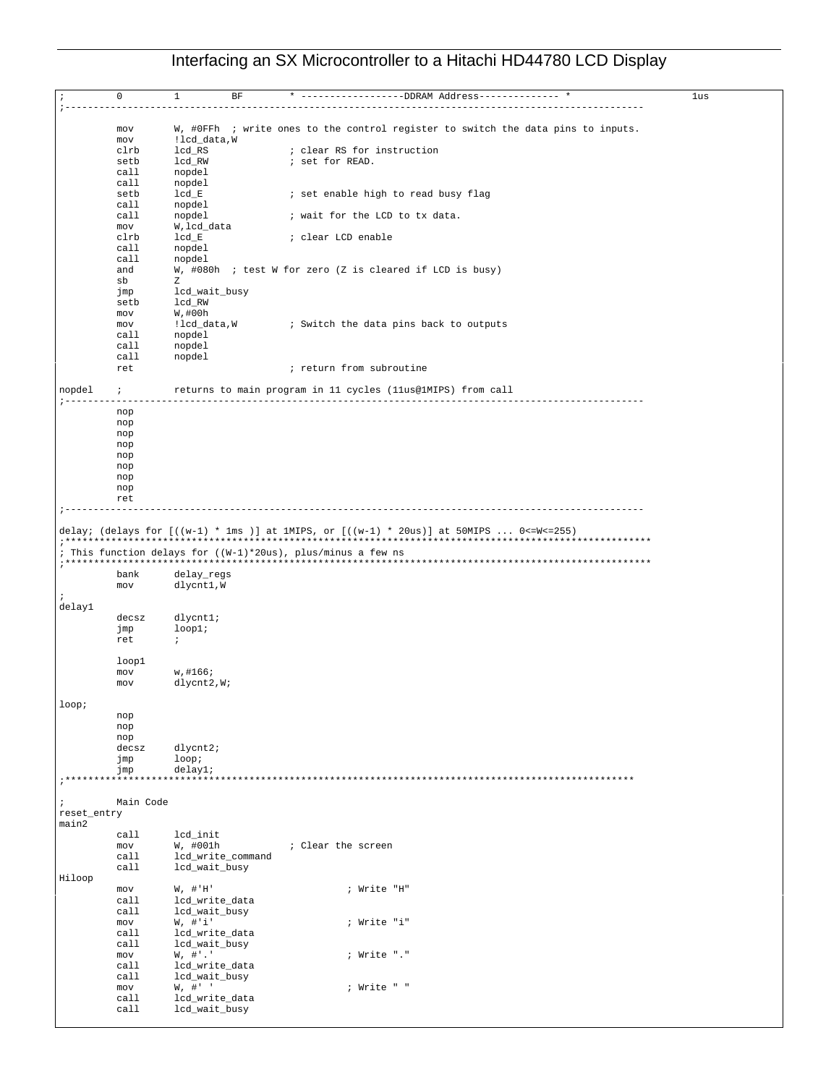|             | mov<br>mov   | !lcd_data,W                     | W, #OFFh ; write ones to the control register to switch the data pins to inputs.                                                                           |  |
|-------------|--------------|---------------------------------|------------------------------------------------------------------------------------------------------------------------------------------------------------|--|
|             | clrb         | lcd_RS                          | ; clear RS for instruction                                                                                                                                 |  |
|             | setb         | lcd_RW                          | ; set for READ.                                                                                                                                            |  |
|             | call         | nopdel                          |                                                                                                                                                            |  |
|             | call         |                                 |                                                                                                                                                            |  |
|             |              | nopdel                          |                                                                                                                                                            |  |
|             | setb         | $lcd_E$                         | ; set enable high to read busy flag                                                                                                                        |  |
|             | call         | nopdel                          |                                                                                                                                                            |  |
|             | call         | nopdel                          | ; wait for the LCD to tx data.                                                                                                                             |  |
|             | mov          | W, lcd_data                     |                                                                                                                                                            |  |
|             | clrb         | $lcd_E$                         | ; clear LCD enable                                                                                                                                         |  |
|             | call         | nopdel                          |                                                                                                                                                            |  |
|             | call         | nopdel                          |                                                                                                                                                            |  |
|             | and          |                                 | W, #080h ; test W for zero (Z is cleared if LCD is busy)                                                                                                   |  |
|             | sb           | Ζ                               |                                                                                                                                                            |  |
|             | jmp          | lcd_wait_busy                   |                                                                                                                                                            |  |
|             | setb         | lcd_RW                          |                                                                                                                                                            |  |
|             | mov          | W, #00h                         |                                                                                                                                                            |  |
|             | mov          | !lcd_data,W                     | ; Switch the data pins back to outputs                                                                                                                     |  |
|             | call         | nopdel                          |                                                                                                                                                            |  |
|             | call         | nopdel                          |                                                                                                                                                            |  |
|             | call         | nopdel                          |                                                                                                                                                            |  |
|             | ret          |                                 | ; return from subroutine                                                                                                                                   |  |
|             |              |                                 |                                                                                                                                                            |  |
| nopdel      | $\ddot{i}$   |                                 | returns to main program in 11 cycles (llus@1MIPS) from call                                                                                                |  |
|             |              |                                 | ----------------------------                                                                                                                               |  |
|             | nop          |                                 |                                                                                                                                                            |  |
|             | nop          |                                 |                                                                                                                                                            |  |
|             | nop          |                                 |                                                                                                                                                            |  |
|             | nop          |                                 |                                                                                                                                                            |  |
|             | nop          |                                 |                                                                                                                                                            |  |
|             | nop          |                                 |                                                                                                                                                            |  |
|             | nop          |                                 |                                                                                                                                                            |  |
|             | nop          |                                 |                                                                                                                                                            |  |
|             | ret          |                                 |                                                                                                                                                            |  |
|             |              |                                 | delay; (delays for $[((w-1) * 1ms)]$ at 1MIPS, or $[((w-1) * 20us)]$ at 50MIPS  0<=W<=255)<br>; This function delays for ((W-1)*20us), plus/minus a few ns |  |
|             | bank<br>mov  | delay_regs<br>dlycnt1,W         |                                                                                                                                                            |  |
|             |              |                                 |                                                                                                                                                            |  |
| delay1      |              |                                 |                                                                                                                                                            |  |
|             | decsz        | dlycntl;                        |                                                                                                                                                            |  |
|             | jmp          | loop1                           |                                                                                                                                                            |  |
|             | ret          | $\ddot{i}$                      |                                                                                                                                                            |  |
|             |              |                                 |                                                                                                                                                            |  |
|             | loop1        |                                 |                                                                                                                                                            |  |
|             | mov          | w, #166;                        |                                                                                                                                                            |  |
|             | mov          | $\text{dlycnt2}, \text{W};$     |                                                                                                                                                            |  |
|             |              |                                 |                                                                                                                                                            |  |
| loop;       |              |                                 |                                                                                                                                                            |  |
|             | nop          |                                 |                                                                                                                                                            |  |
|             | nop          |                                 |                                                                                                                                                            |  |
|             | nop          |                                 |                                                                                                                                                            |  |
|             | decsz        | $dlycnt2$ ;                     |                                                                                                                                                            |  |
|             | jmp          | loop:                           |                                                                                                                                                            |  |
|             | jmp          | delay1;                         |                                                                                                                                                            |  |
|             |              |                                 | *************************                                                                                                                                  |  |
|             |              |                                 |                                                                                                                                                            |  |
| $\ddot{i}$  | Main Code    |                                 |                                                                                                                                                            |  |
| reset_entry |              |                                 |                                                                                                                                                            |  |
| main2       |              |                                 |                                                                                                                                                            |  |
|             | call         | lcd_init                        |                                                                                                                                                            |  |
|             | mov          | W, #001h                        | ; Clear the screen                                                                                                                                         |  |
|             | call         | lcd_write_command               |                                                                                                                                                            |  |
|             | call         | lcd_wait_busy                   |                                                                                                                                                            |  |
| Hiloop      |              |                                 |                                                                                                                                                            |  |
|             | mov          | $W$ , $\#$ 'H'                  | ; Write "H"                                                                                                                                                |  |
|             | call         | lcd_write_data                  |                                                                                                                                                            |  |
|             | call         | lcd_wait_busy                   |                                                                                                                                                            |  |
|             | mov          |                                 | ; Write "i"                                                                                                                                                |  |
|             |              | W, # 'i'                        |                                                                                                                                                            |  |
|             | call         | lcd_write_data                  |                                                                                                                                                            |  |
|             | call         | lcd_wait_busy                   |                                                                                                                                                            |  |
|             | mov          | W, #'.                          | ; Write "."                                                                                                                                                |  |
|             | call         | lcd_write_data                  |                                                                                                                                                            |  |
|             | call         | lcd_wait_busy                   |                                                                                                                                                            |  |
|             | mov          | W, # "                          | ; Write " "                                                                                                                                                |  |
|             | call<br>call | lcd_write_data<br>lcd_wait_busy |                                                                                                                                                            |  |